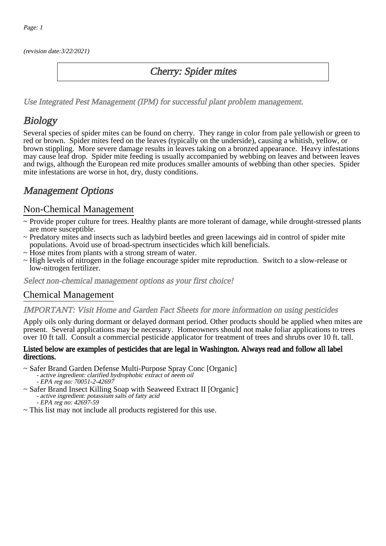(revision date:3/22/2021)

## Cherry: Spider mites

[Use Integrated Pest Management \(IPM\) for successful plant problem management.](http://pep.wsu.edu/Home_Garden/H_G_Pesticide_info/urban_Integrated_Pest_Managmen/)

## **Biology**

Several species of spider mites can be found on cherry. They range in color from pale yellowish or green to red or brown. Spider mites feed on the leaves (typically on the underside), causing a whitish, yellow, or brown stippling. More severe damage results in leaves taking on a bronzed appearance. Heavy infestations may cause leaf drop. Spider mite feeding is usually accompanied by webbing on leaves and between leaves and twigs, although the European red mite produces smaller amounts of webbing than other species. Spider mite infestations are worse in hot, dry, dusty conditions.

## Management Options

## Non-Chemical Management

- ~ Provide proper culture for trees. Healthy plants are more tolerant of damage, while drought-stressed plants are more susceptible.
- ~ Predatory mites and insects such as ladybird beetles and green lacewings aid in control of spider mite populations. Avoid use of broad-spectrum insecticides which kill beneficials.
- ~ Hose mites from plants with a strong stream of water.
- ~ High levels of nitrogen in the foliage encourage spider mite reproduction. Switch to a slow-release or low-nitrogen fertilizer.

Select non-chemical management options as your first choice!

### Chemical Management

#### IMPORTANT: [Visit Home and Garden Fact Sheets for more information on using pesticides](http://pep.wsu.edu/Home_Garden/H_G_Pesticide_info/)

Apply oils only during dormant or delayed dormant period. Other products should be applied when mites are present. Several applications may be necessary. Homeowners should not make foliar applications to trees over 10 ft tall. Consult a commercial pesticide applicator for treatment of trees and shrubs over 10 ft. tall.

#### Listed below are examples of pesticides that are legal in Washington. Always read and follow all label directions.

- ~ Safer Brand Garden Defense Multi-Purpose Spray Conc [Organic] - active ingredient: clarified hydrophobic extract of neem oil
	- EPA reg no: 70051-2-42697
- ~ Safer Brand Insect Killing Soap with Seaweed Extract II [Organic] - active ingredient: potassium salts of fatty acid EPA reg no: 42697-59
- ~ This list may not include all products registered for this use.